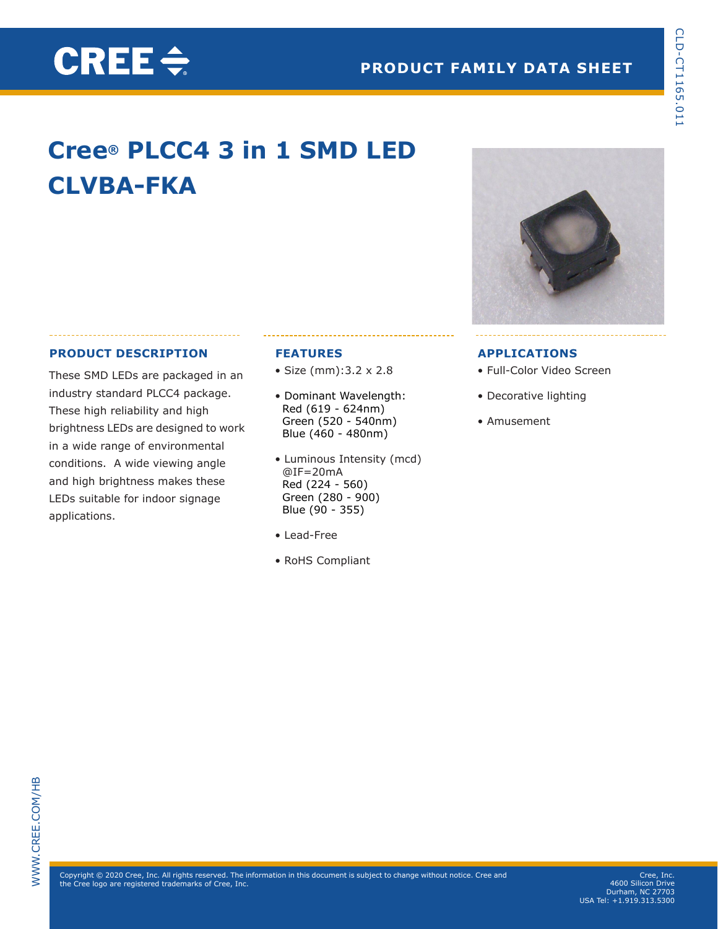# **Cree® PLCC4 3 in 1 SMD LED CLVBA-FKA**

#### **PRODUCT DESCRIPTION**

CREE $\div$ 

These SMD LEDs are packaged in an industry standard PLCC4 package. These high reliability and high brightness LEDs are designed to work in a wide range of environmental conditions. A wide viewing angle and high brightness makes these LEDs suitable for indoor signage applications.

#### **FEATURES**

- Size (mm):3.2 x 2.8
- Dominant Wavelength: Red (619 - 624nm) Green (520 - 540nm) Blue (460 - 480nm)
- Luminous Intensity (mcd) @IF=20mA Red (224 - 560) Green (280 - 900) Blue (90 - 355)
- Lead-Free
- RoHS Compliant



#### **APPLICATIONS**

- Full-Color Video Screen
- Decorative lighting
- Amusement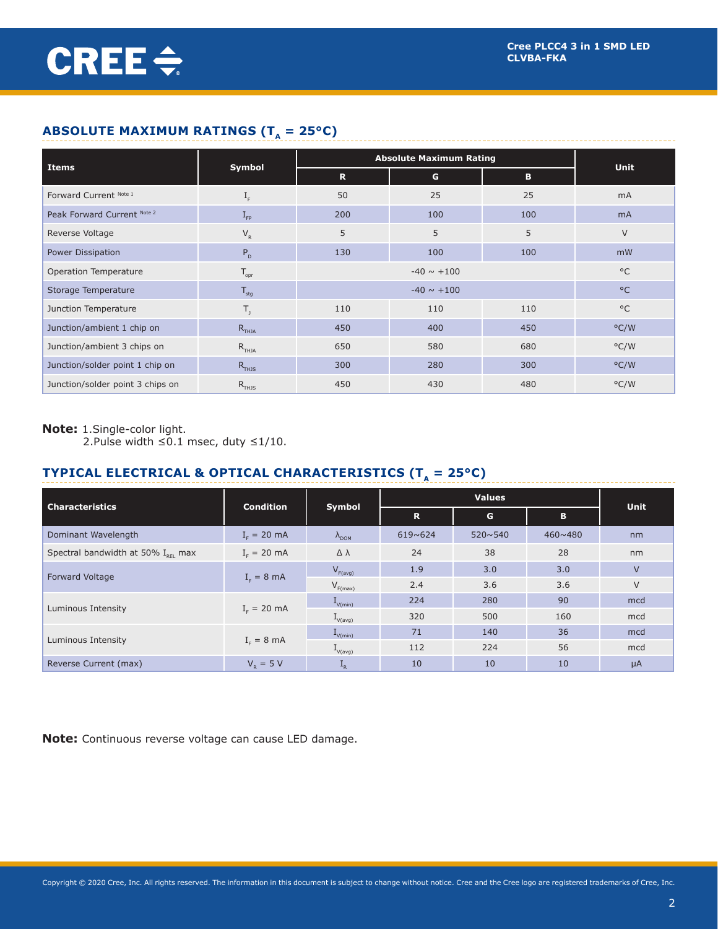# **ABSOLUTE MAXIMUM RATINGS (T<sub>a</sub> = 25°C)**

|                                  |                                               | <b>Absolute Maximum Rating</b> |              |     |               |
|----------------------------------|-----------------------------------------------|--------------------------------|--------------|-----|---------------|
| Items                            | Symbol                                        | $\mathbf R$                    | G            | B   | Unit          |
| Forward Current Note 1           | $\rm I_{_{F}}$                                | 50                             | 25           | 25  | mA            |
| Peak Forward Current Note 2      | $I_{\text{FP}}$                               | 200                            | 100          | 100 | <b>mA</b>     |
| Reverse Voltage                  | $\mathsf{V}_{\scriptscriptstyle{\mathsf{R}}}$ | 5                              | 5            | 5   | $\vee$        |
| Power Dissipation                | $P_{D}$                                       | 130                            | 100          | 100 | mW            |
| Operation Temperature            | $\mathsf{T}_{\mathsf{opr}}$                   |                                | $^{\circ}$ C |     |               |
| Storage Temperature              | $\mathsf{T}_{\mathsf{stg}}$                   |                                | $^{\circ}$ C |     |               |
| Junction Temperature             | Т,                                            | 110                            | 110          | 110 | $^{\circ}$ C  |
| Junction/ambient 1 chip on       | $R$ <sub>THJA</sub>                           | 450                            | 400          | 450 | $\degree$ C/W |
| Junction/ambient 3 chips on      | $R$ <sub>THJA</sub>                           | 650                            | 580          | 680 | $\degree$ C/W |
| Junction/solder point 1 chip on  | $R$ <sub>THJS</sub>                           | 300                            | 280          | 300 | $\degree$ C/W |
| Junction/solder point 3 chips on | $R$ <sub>THJS</sub>                           | 450                            | 430          | 480 | $\degree$ C/W |

#### **Note:** 1.Single-color light.

2.Pulse width ≤0.1 msec, duty ≤1/10.

# **TYPICAL ELECTRICAL & OPTICAL CHARACTERISTICS (T<sub>** $_A$ **</sub> = 25°C)**

|                                                |                        |                        |         | <b>Unit</b>      |         |        |  |
|------------------------------------------------|------------------------|------------------------|---------|------------------|---------|--------|--|
| <b>Characteristics</b>                         | <b>Condition</b>       | Symbol                 | R       | G<br>В           |         |        |  |
| Dominant Wavelength                            | $I_c = 20$ mA          | $\Lambda_{\text{DOM}}$ | 619~624 | $520 \times 540$ | 460~480 | nm     |  |
| Spectral bandwidth at 50% I <sub>pei</sub> max | $Ir = 20 mA$           | $\Delta \lambda$       | 24      | 38               | 28      | nm     |  |
|                                                |                        | $V_{F(avg)}$           | 1.9     | 3.0              | 3.0     | $\vee$ |  |
| Forward Voltage                                | $I_c = 8$ mA           | $V_{F(max)}$           | 2.4     | 3.6              | 3.6     | $\vee$ |  |
| Luminous Intensity                             |                        | $L_{V(min)}$           | 224     | 280              | 90      | mcd    |  |
|                                                | $Ir = 20 mA$           | $I_{V(\text{avg})}$    | 320     | 500              | 160     | mcd    |  |
|                                                | $I_{F} = 8 \text{ mA}$ | $L_{V(min)}$           | 71      | 140              | 36      | mcd    |  |
| Luminous Intensity                             |                        | $I_{V(avg)}$           | 112     | 224              | 56      | mcd    |  |
| Reverse Current (max)                          | $V_{p} = 5 V$          | $\mathbf{L}_{R}$       | 10      | 10               | 10      | μA     |  |

**Note:** Continuous reverse voltage can cause LED damage.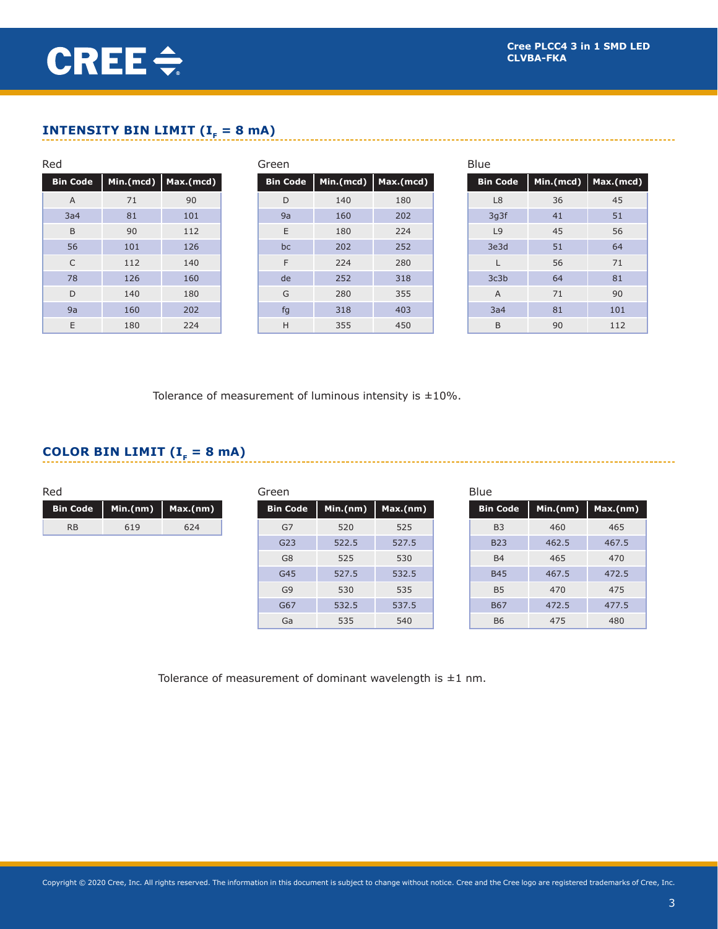**Bin Code Min.(mcd) Max.(mcd)**

# CREE $\div$

# **INTENSITY BIN LIMIT (** $I<sub>F</sub> = 8$  **mA)**

| Red             |     |                       | Green           |           |           | <b>Blue</b>     |           |            |
|-----------------|-----|-----------------------|-----------------|-----------|-----------|-----------------|-----------|------------|
| <b>Bin Code</b> |     | Min.(mcd)   Max.(mcd) | <b>Bin Code</b> | Min.(mcd) | Max.(mcd) | <b>Bin Code</b> | Min.(mcd) | $ $ Max.(m |
| A               | 71  | 90                    | D               | 140       | 180       | L <sub>8</sub>  | 36        | 45         |
| 3a4             | 81  | 101                   | 9a              | 160       | 202       | 3g3f            | 41        | 51         |
| B               | 90  | 112                   | E               | 180       | 224       | L <sub>9</sub>  | 45        | 56         |
| 56              | 101 | 126                   | bc              | 202       | 252       | 3e3d            | 51        | 64         |
| C               | 112 | 140                   | F               | 224       | 280       | L               | 56        | 71         |
| 78              | 126 | 160                   | de              | 252       | 318       | 3c3b            | 64        | 81         |
| D               | 140 | 180                   | G               | 280       | 355       | $\overline{A}$  | 71        | 90         |
| 9a              | 160 | 202                   | fg              | 318       | 403       | 3a4             | 81        | 101        |
| E               | 180 | 224                   | H               | 355       | 450       | B               | 90        | 112        |

Tolerance of measurement of luminous intensity is  $\pm 10\%$ .

### **COLOR BIN LIMIT (** $I<sub>F</sub> = 8$  **mA)**

| Red             |          |          | Green           |          |          | Blue            |          |          |
|-----------------|----------|----------|-----------------|----------|----------|-----------------|----------|----------|
| <b>Bin Code</b> | Min.(nm) | Max.(nm) | <b>Bin Code</b> | Min.(nm) | Max.(nm) | <b>Bin Code</b> | Min.(nm) | Max.(nm) |
| <b>RB</b>       | 619      | 624      | G7              | 520      | 525      | B <sub>3</sub>  | 460      | 465      |
|                 |          |          | G23             | 522.5    | 527.5    | <b>B23</b>      | 462.5    | 467.5    |
|                 |          |          | G8              | 525      | 530      | <b>B4</b>       | 465      | 470      |
|                 |          |          | G45             | 527.5    | 532.5    | <b>B45</b>      | 467.5    | 472.5    |
|                 |          |          | G <sub>9</sub>  | 530      | 535      | B <sub>5</sub>  | 470      | 475      |
|                 |          |          | G67             | 532.5    | 537.5    | <b>B67</b>      | 472.5    | 477.5    |
|                 |          |          | Ga              | 535      | 540      | <b>B6</b>       | 475      | 480      |

Tolerance of measurement of dominant wavelength is  $\pm 1$  nm.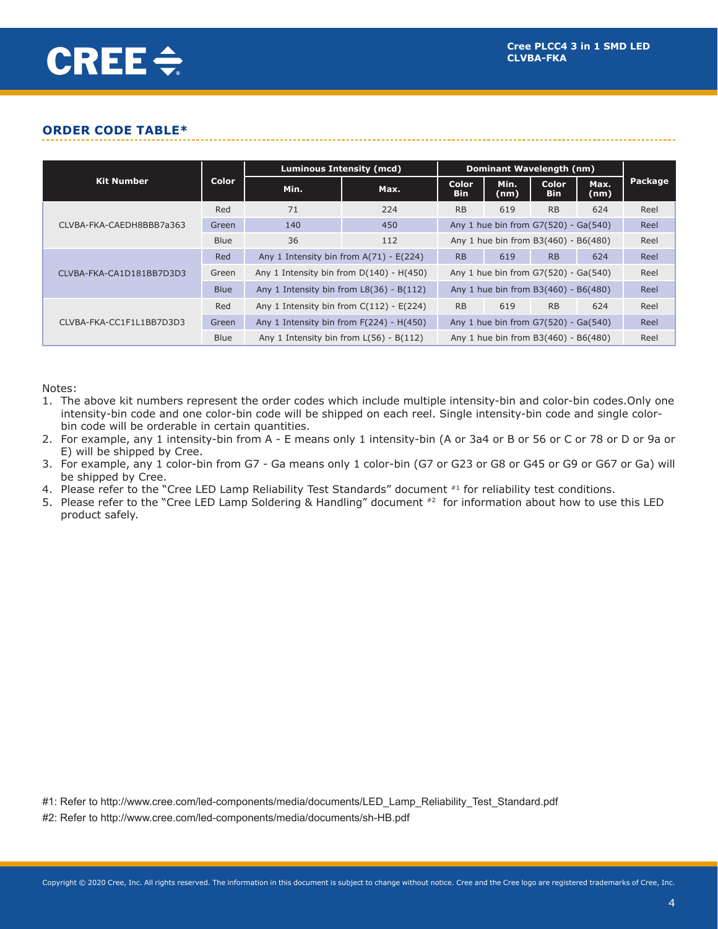#### **ORDER CODE TABLE\***

|                          | Color       | Luminous Intensity (mcd)                     | Dominant Wavelength (nm)                                                                                                                                                                                                                                      |                     |                                                                              |                            |              |         |
|--------------------------|-------------|----------------------------------------------|---------------------------------------------------------------------------------------------------------------------------------------------------------------------------------------------------------------------------------------------------------------|---------------------|------------------------------------------------------------------------------|----------------------------|--------------|---------|
| <b>Kit Number</b>        |             | Min.                                         | Max.                                                                                                                                                                                                                                                          | Color<br><b>Bin</b> | Min.<br>(nm)                                                                 | <b>Color</b><br><b>Bin</b> | Max.<br>(nm) | Package |
| CLVBA-FKA-CAEDH8BBB7a363 | Red         | 71                                           | 224                                                                                                                                                                                                                                                           | <b>RB</b>           | 619                                                                          | <b>RB</b>                  | 624          | Reel    |
|                          | Green       | 140<br>450                                   |                                                                                                                                                                                                                                                               |                     | Reel                                                                         |                            |              |         |
|                          | <b>Blue</b> | 36                                           | 112                                                                                                                                                                                                                                                           |                     | Any 1 hue bin from G7(520) - Ga(540)<br><b>RB</b><br>619<br><b>RB</b><br>624 | Reel                       |              |         |
|                          | Red         |                                              |                                                                                                                                                                                                                                                               |                     |                                                                              |                            | Reel         |         |
| CLVBA-FKA-CA1D181BB7D3D3 | Green       |                                              |                                                                                                                                                                                                                                                               | Reel                |                                                                              |                            |              |         |
|                          | <b>Blue</b> |                                              | Any 1 hue bin from B3(460) - B6(480)<br>Any 1 Intensity bin from $A(71) - E(224)$<br>Any 1 Intensity bin from $D(140) - H(450)$<br>Any 1 hue bin from G7(520) - Ga(540)<br>Any 1 hue bin from B3(460) - B6(480)<br>Any 1 Intensity bin from $L8(36) - B(112)$ | Reel                |                                                                              |                            |              |         |
| CLVBA-FKA-CC1F1L1BB7D3D3 | Red         | Any 1 Intensity bin from $C(112)$ - $E(224)$ | <b>RB</b>                                                                                                                                                                                                                                                     | 619                 | <b>RB</b>                                                                    | 624                        | Reel         |         |
|                          | Green       | Any 1 Intensity bin from $F(224) - H(450)$   | Any 1 hue bin from G7(520) - Ga(540)                                                                                                                                                                                                                          | Reel                |                                                                              |                            |              |         |
|                          | <b>Blue</b> | Any 1 Intensity bin from $L(56) - B(112)$    | Any 1 hue bin from B3(460) - B6(480)                                                                                                                                                                                                                          |                     |                                                                              |                            | Reel         |         |

Notes:

- 1. The above kit numbers represent the order codes which include multiple intensity-bin and color-bin codes.Only one intensity-bin code and one color-bin code will be shipped on each reel. Single intensity-bin code and single colorbin code will be orderable in certain quantities.
- 2. For example, any 1 intensity-bin from A E means only 1 intensity-bin (A or 3a4 or B or 56 or C or 78 or D or 9a or E) will be shipped by Cree.
- 3. For example, any 1 color-bin from G7 Ga means only 1 color-bin (G7 or G23 or G8 or G45 or G9 or G67 or Ga) will be shipped by Cree.
- 4. Please refer to the "Cree LED Lamp Reliability Test Standards" document #1 for reliability test conditions.
- 5. Please refer to the "Cree LED Lamp Soldering & Handling" document  $*2$  for information about how to use this LED product safely.

#1: Refer to http://www.cree.com/led-components/media/documents/LED\_Lamp\_Reliability\_Test\_Standard.pdf

#2: Refer to http://www.cree.com/led-components/media/documents/sh-HB.pdf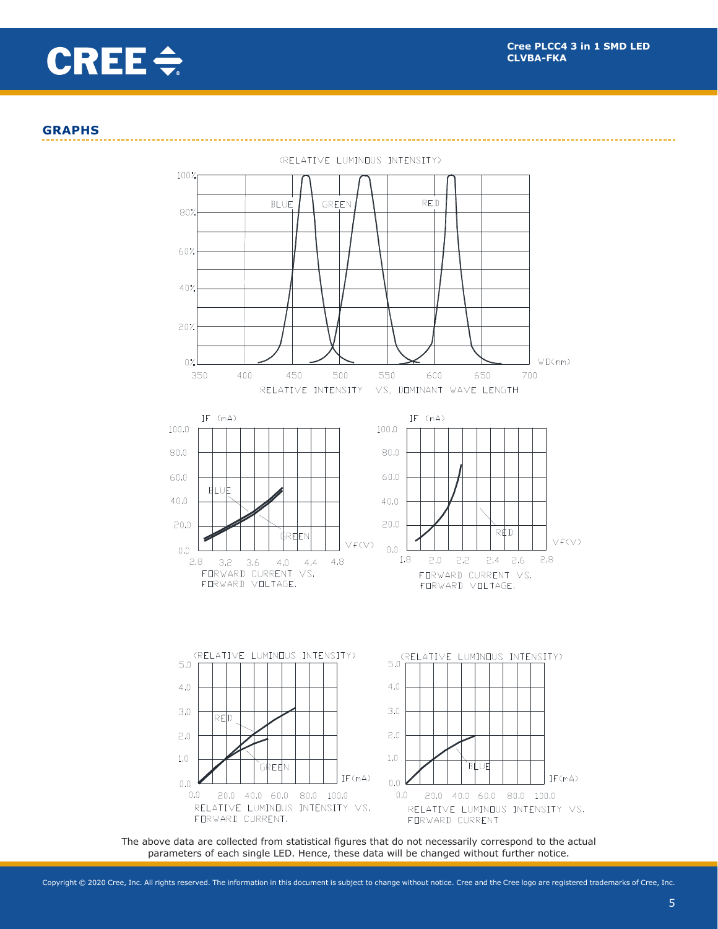

#### **GRAPHS**



The above data are collected from statistical figures that do not necessarily correspond to the actual parameters of each single LED. Hence, these data will be changed without further notice.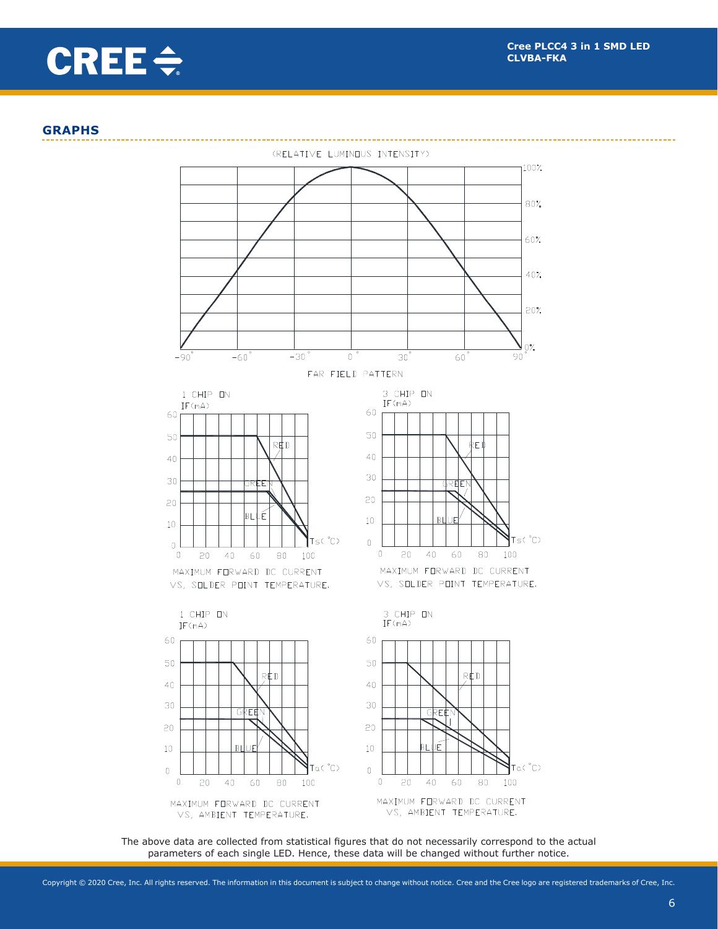

#### **GRAPHS**



The above data are collected from statistical figures that do not necessarily correspond to the actual parameters of each single LED. Hence, these data will be changed without further notice.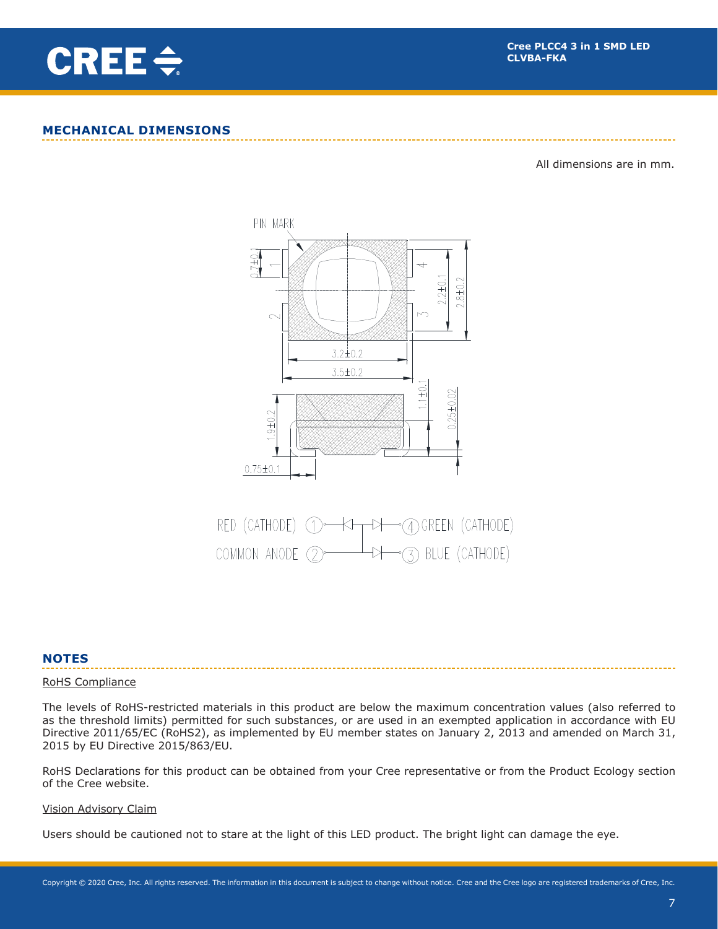

#### **MECHANICAL DIMENSIONS**

All dimensions are in mm.





#### **NOTES**

#### RoHS Compliance

The levels of RoHS-restricted materials in this product are below the maximum concentration values (also referred to as the threshold limits) permitted for such substances, or are used in an exempted application in accordance with EU Directive 2011/65/EC (RoHS2), as implemented by EU member states on January 2, 2013 and amended on March 31, 2015 by EU Directive 2015/863/EU.

RoHS Declarations for this product can be obtained from your Cree representative or from the Product Ecology section of the Cree website.

#### Vision Advisory Claim

Users should be cautioned not to stare at the light of this LED product. The bright light can damage the eye.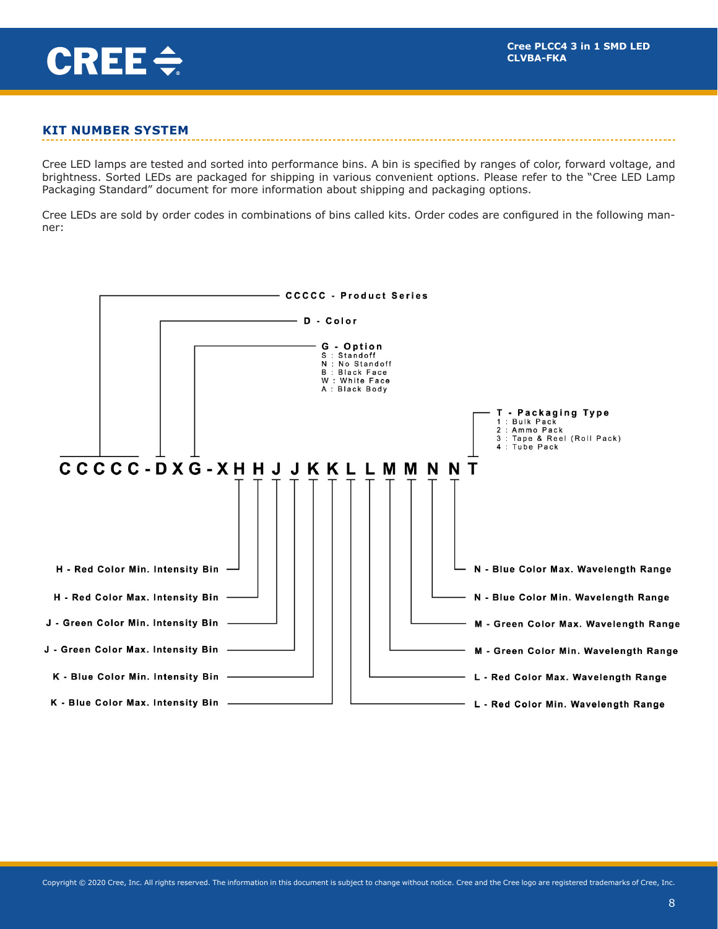

#### **KIT NUMBER SYSTEM**

Cree LED lamps are tested and sorted into performance bins. A bin is specified by ranges of color, forward voltage, and brightness. Sorted LEDs are packaged for shipping in various convenient options. Please refer to the "Cree LED Lamp Packaging Standard" document for more information about shipping and packaging options.

Cree LEDs are sold by order codes in combinations of bins called kits. Order codes are configured in the following manner:

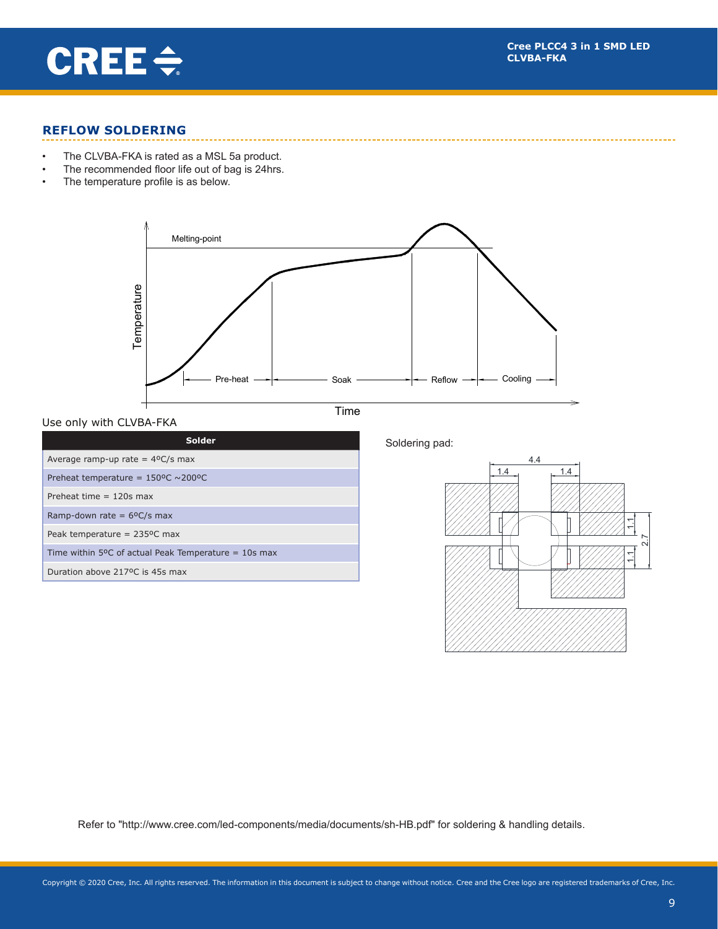

#### **REFLOW SOLDERING**

- • The CLVBA-FKA is rated as a MSL 5a product.
- The recommended floor life out of bag is 24hrs.
- • The temperature profile is as below.



 $Use only with CLVBA-FKA$ 

Time





Refer to "http://www.cree.com/led-components/media/documents/sh-HB.pdf" for soldering & handling details.

7.0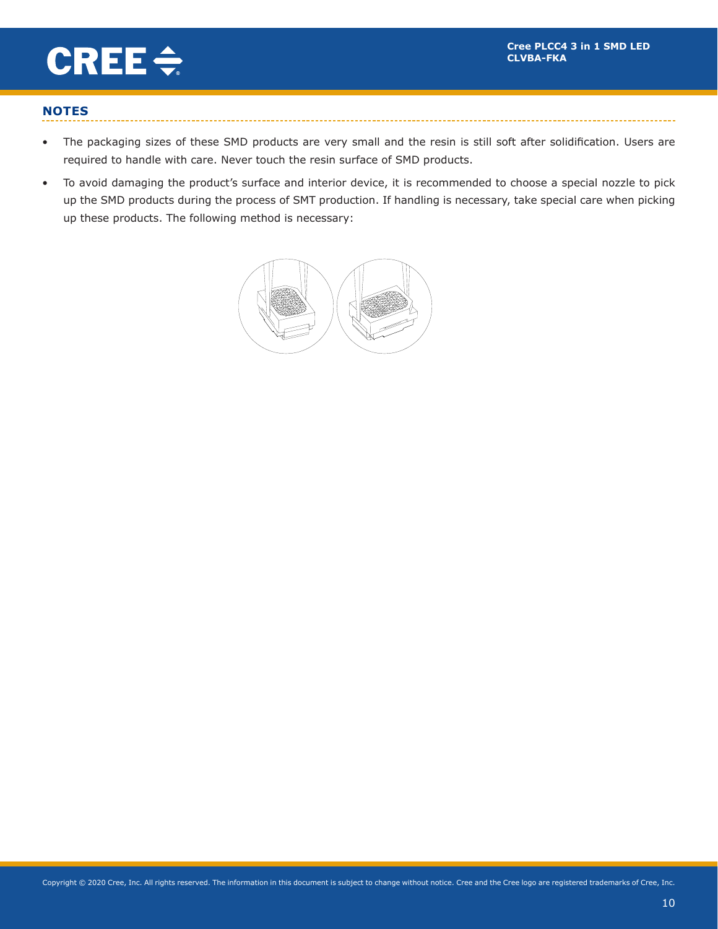picks and products are producted and product the construction of the product of the product of the product of  $\eta$ 

Rev. NO. : 16



## **NOTES**

- The packaging sizes of these SMD products are very small and the resin is still soft after solidification. Users are required to handle with care. Never touch the resin surface of SMD products.
- To avoid damaging the product's surface and interior device, it is recommended to choose a special nozzle to pick up the SMD products during the process of SMT production. If handling is necessary, take special care when picking up these products. The following method is necessary: The SMD Fig. Theorem SMD Fig. The SMD Fig. The SMD Fig. 3